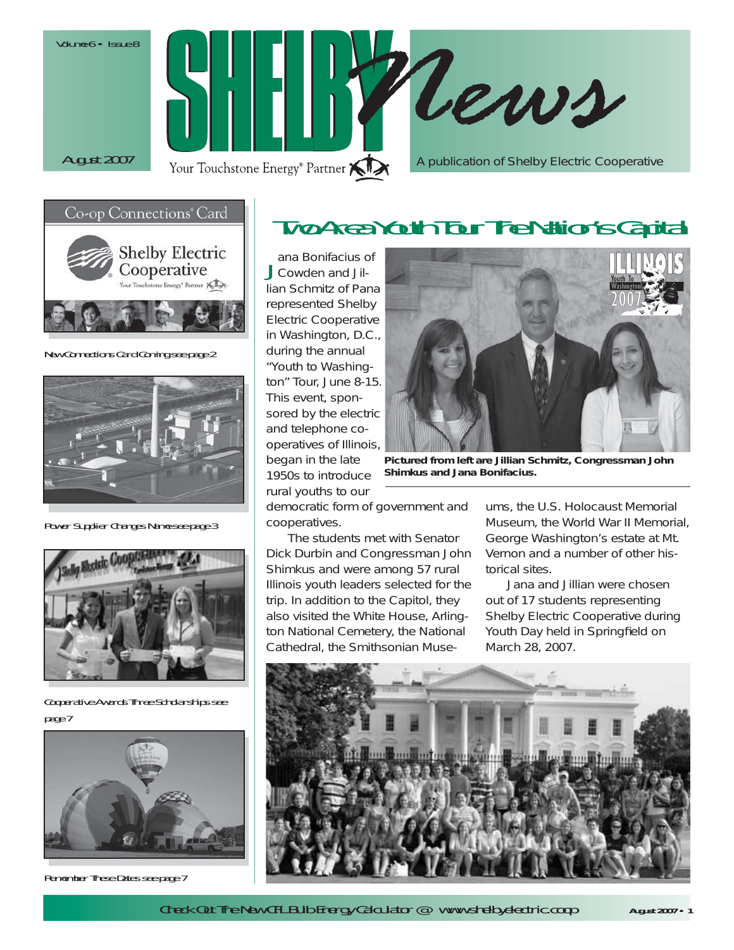Volume 6 • Issue 8





New Connections Card Coming see page 2



Power Supplier Changes Name see page 3



Cooperative Awards Three Scholarships see page 7



Remember These Dates see page 7

# Two Area Youth Tour The Nation's Capital

Jana Bonifacius of<br>JCowden and Jillian Schmitz of Pana represented Shelby Electric Cooperative in Washington, D.C., during the annual "Youth to Washington" Tour, June 8-15. This event, sponsored by the electric and telephone cooperatives of Illinois, began in the late 1950s to introduce rural youths to our



*Pictured from left are Jillian Schmitz, Congressman John Shimkus and Jana Bonifacius.*

democratic form of government and cooperatives.

 The students met with Senator Dick Durbin and Congressman John Shimkus and were among 57 rural Illinois youth leaders selected for the trip. In addition to the Capitol, they also visited the White House, Arlington National Cemetery, the National Cathedral, the Smithsonian Museums, the U.S. Holocaust Memorial<br>Museum, the World War II Memorial,<br>George Washington's estate at Mt.<br>Vernon and a number of other his-

torical sites.<br>Jana and Jillian were chosen<br>out of 17 students representing<br>Shelby Electric Cooperative during<br>Youth Day held in Springfield on<br>March 28, 2007.



Check Out The New CFL Bulb Energy Calculator @ www.shelbyelectric.coop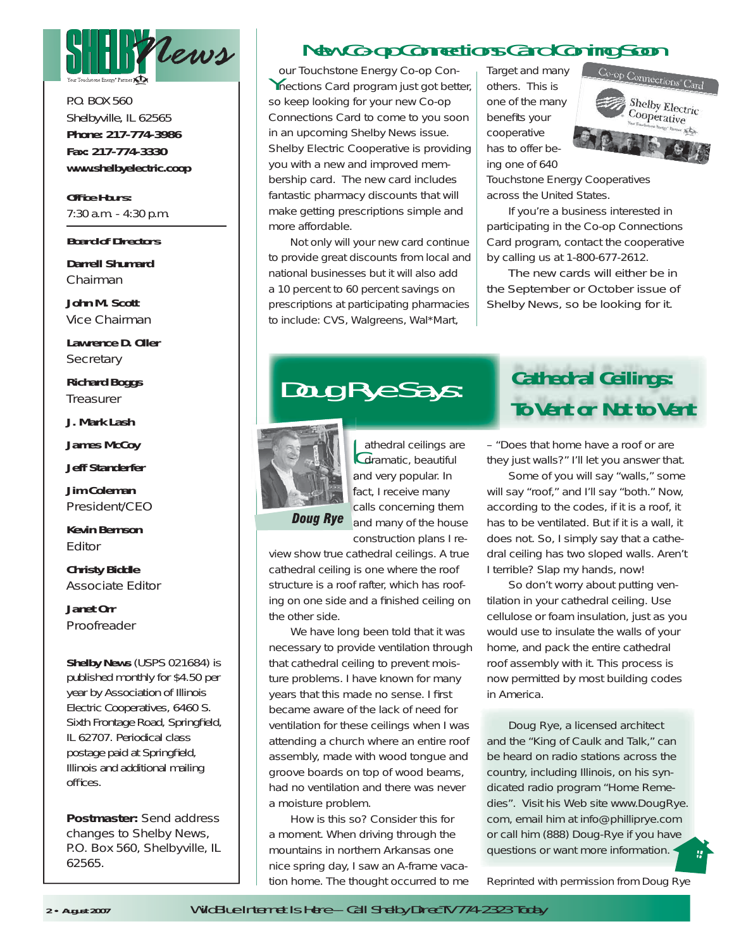

P.O. BOX 560Shelbyville, IL 62565 **Phone: 217-774-3986 Fax: 217-774-3330www.shelbyelectric.coop**

**Office Hours:** 7:30 a.m. - 4:30 p.m.

#### **Board of Directors**

**Darrell Shumard***Chairman*

**John M. Scott***Vice Chairman*

**Lawrence D. Oller***Secretary*

**Richard Boggs** *Treasurer*

**J. Mark Lash**

**James McCoy**

**Jeff Standerfer**

**Jim Coleman***President/CEO*

**Kevin Bernson***Editor*

**Christy Biddle** *Associate Editor*

**Janet Orr***Proofreader*

**Shelby News** (USPS 021684) is published monthly for \$4.50 per year by Association of Illinois Electric Cooperatives, 6460 S. Sixth Frontage Road, Springfield, IL 62707. Periodical class postage paid at Springfield, Illinois and additional mailing offices.

**Postmaster:** Send address changes to Shelby News, P.O. Box 560, Shelbyville, IL 62565.

# New Co-op Connections Card Coming Soon

Your Touchstone Energy Co-op Con- nections Card program just got better, so keep looking for your new Co-op Connections Card to come to you soon in an upcoming *Shelby News* issue. Shelby Electric Cooperative is providing you with a new and improved membership card. The new card includes fantastic pharmacy discounts that will make getting prescriptions simple and more affordable.

Not only will your new card continue to provide great discounts from local and national businesses but it will also add a 10 percent to 60 percent savings on prescriptions at participating pharmacies to include: CVS, Walgreens, Wal\*Mart,

Target and many others. This is one of the many benefits your cooperative has to offer being one of 640



Touchstone Energy Cooperatives across the United States.

 If you're a business interested in participating in the Co-op Connections Card program, contact the cooperative by calling us at 1-800-677-2612.

The new cards will either be in the September or October issue of *Shelby News,* so be looking for it.



**Cathedral ceilings are**<br>**Odramatic**, beautiful and very popular. In fact, I receive many calls concerning them and many of the house

**Doug Rye** 

construction plans I review show true cathedral ceilings. A true cathedral ceiling is one where the roof structure is a roof rafter, which has roofing on one side and a finished ceiling on the other side.

 We have long been told that it was necessary to provide ventilation through that cathedral ceiling to prevent moisture problems. I have known for many years that this made no sense. I first became aware of the lack of need for ventilation for these ceilings when I was attending a church where an entire roof assembly, made with wood tongue and groove boards on top of wood beams, had no ventilation and there was never a moisture problem.

 How is this so? Consider this for a moment. When driving through the mountains in northern Arkansas one nice spring day, I saw an A-frame vacation home. The thought occurred to me

# Doug Rye Says: **Cathedral Ceilings: To Vent or Not to Vent**

– "Does that home have a roof or are they just walls?" I'll let you answer that.

 Some of you will say "walls," some will say "roof," and I'll say "both." Now, according to the codes, if it is a roof, it has to be ventilated. But if it is a wall, it does not. So, I simply say that a cathedral ceiling has two sloped walls. Aren't I terrible? Slap my hands, now!

 So don't worry about putting ventilation in your cathedral ceiling. Use cellulose or foam insulation, just as you would use to insulate the walls of your home, and pack the entire cathedral roof assembly with it. This process is now permitted by most building codes in America.

 Doug Rye, a licensed architect and the "King of Caulk and Talk," can be heard on radio stations across the country, including Illinois, on his syndicated radio program "Home Remedies". Visit his Web site www.DougRye. com, email him at info@philliprye.com or call him (888) Doug-Rye if you have questions or want more information.

*Reprinted with permission from Doug Rye*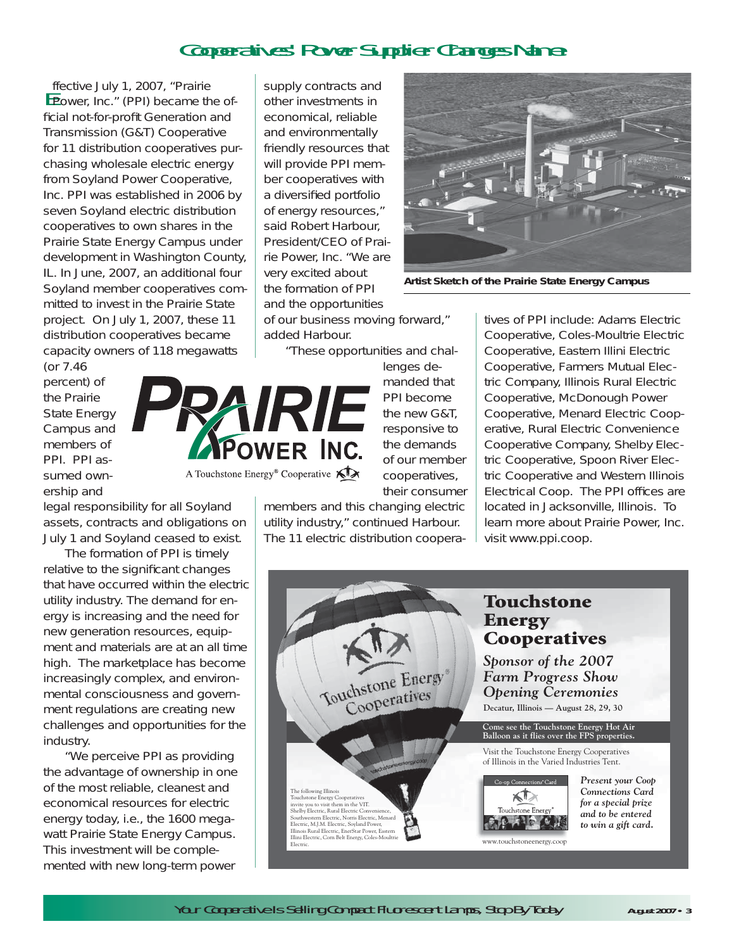# Cooperatives' Power Supplier Changes Name

**Effective July 1, 2007, "Prairie Prower, Inc." (PPI) became the of**ficial not-for-profit Generation and Transmission (G&T) Cooperative for 11 distribution cooperatives purchasing wholesale electric energy from Soyland Power Cooperative, Inc. PPI was established in 2006 by seven Soyland electric distribution cooperatives to own shares in the Prairie State Energy Campus under development in Washington County, IL. In June, 2007, an additional four Soyland member cooperatives committed to invest in the Prairie State project. On July 1, 2007, these 11 distribution cooperatives became capacity owners of 118 megawatts

(or 7.46 percent) of the Prairie State Energy Campus and members of PPI. PPI assumed ownership and



legal responsibility for all Soyland assets, contracts and obligations on July 1 and Soyland ceased to exist.

 The formation of PPI is timely relative to the significant changes that have occurred within the electric utility industry. The demand for energy is increasing and the need for new generation resources, equipment and materials are at an all time high. The marketplace has become increasingly complex, and environmental consciousness and government regulations are creating new challenges and opportunities for the industry.

 "We perceive PPI as providing the advantage of ownership in one of the most reliable, cleanest and economical resources for electric energy today, i.e., the 1600 megawatt Prairie State Energy Campus. This investment will be complemented with new long-term power

supply contracts and other investments in economical, reliable and environmentally friendly resources that will provide PPI member cooperatives with a diversified portfolio of energy resources," said Robert Harbour, President/CEO of Prairie Power, Inc. "We are very excited about the formation of PPI and the opportunities

of our business moving forward," added Harbour.

"These opportunities and chal-

lenges demanded that PPI become the new G&T, responsive to the demands of our member cooperatives, their consumer

members and this changing electric utility industry," continued Harbour. The 11 electric distribution coopera-



*Artist Sketch of the Prairie State Energy Campus*

tives of PPI include: *Adams Electric Cooperative, Coles-Moultrie Electric Cooperative, Eastern Illini Electric Cooperative, Farmers Mutual Elec tric Company, Illinois Rural Electric Cooperative, McDonough Power Cooperative, Menard Electric Coop erative, Rural Electric Convenience Cooperative Company, Shelby Elec tric Cooperative, Spoon River Elec tric Cooperative and Western Illinois*<br>*Electrical Coop.* The PPI offices are<br>located in Jacksonville, Illinois. To<br>learn more about Prairie Power, Inc.<br>visit www.ppi.coop.

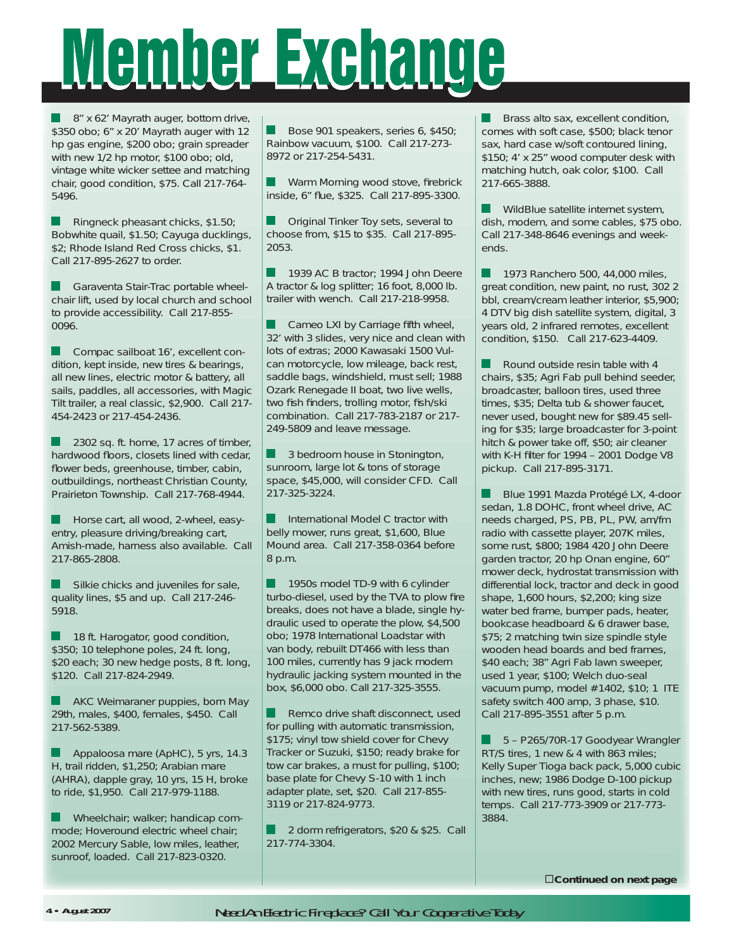# Member Exchange

8" x 62' Mayrath auger, bottom drive, \$350 obo; 6" x 20' Mayrath auger with 12 hp gas engine, \$200 obo; grain spreader with new 1/2 hp motor, \$100 obo; old, vintage white wicker settee and matching chair, good condition, \$75. Call 217-764- 5496.

 Ringneck pheasant chicks, \$1.50; Bobwhite quail, \$1.50; Cayuga ducklings, \$2; Rhode Island Red Cross chicks, \$1. Call 217-895-2627 to order.

Garaventa Stair-Trac portable wheelchair lift, used by local church and school to provide accessibility. Call 217-855- 0096.

Compac sailboat 16', excellent condition, kept inside, new tires & bearings, all new lines, electric motor & battery, all sails, paddles, all accessories, with Magic Tilt trailer, a real classic, \$2,900. Call 217- 454-2423 or 217-454-2436.

2302 sq. ft. home, 17 acres of timber, hardwood floors, closets lined with cedar, flower beds, greenhouse, timber, cabin, outbuildings, northeast Christian County, Prairieton Township. Call 217-768-4944.

Horse cart, all wood, 2-wheel, easyentry, pleasure driving/breaking cart, Amish-made, harness also available. Call 217-865-2808.

 $\blacksquare$  Silkie chicks and juveniles for sale, quality lines, \$5 and up. Call 217-246- 5918.

 18 ft. Harogator, good condition, \$350; 10 telephone poles, 24 ft. long, \$20 each; 30 new hedge posts, 8 ft. long, \$120. Call 217-824-2949.

**AKC Weimaraner puppies, born May** 29th, males, \$400, females, \$450. Call 217-562-5389.

 Appaloosa mare (ApHC), 5 yrs, 14.3 H, trail ridden, \$1,250; Arabian mare (AHRA), dapple gray, 10 yrs, 15 H, broke to ride, \$1,950. Call 217-979-1188.

Wheelchair; walker; handicap commode; Hoveround electric wheel chair; 2002 Mercury Sable, low miles, leather, sunroof, loaded. Call 217-823-0320.

 Bose 901 speakers, series 6, \$450; Rainbow vacuum, \$100. Call 217-273- 8972 or 217-254-5431.

Warm Morning wood stove, firebrick inside, 6" flue, \$325. Call 217-895-3300.

**Collectional State Toy sets, several to** choose from, \$15 to \$35. Call 217-895- 2053.

1939 AC B tractor; 1994 John Deere A tractor & log splitter; 16 foot, 8,000 lb. trailer with wench. Call 217-218-9958.

 $\Box$  Cameo LXI by Carriage fifth wheel, 32' with 3 slides, very nice and clean with lots of extras; 2000 Kawasaki 1500 Vulcan motorcycle, low mileage, back rest, saddle bags, windshield, must sell; 1988 Ozark Renegade II boat, two live wells, two fish finders, trolling motor, fish/ski combination. Call 217-783-2187 or 217- 249-5809 and leave message.

 3 bedroom house in Stonington, sunroom, large lot & tons of storage space, \$45,000, will consider CFD. Call 217-325-3224.

 International Model C tractor with belly mower, runs great, \$1,600, Blue Mound area. Call 217-358-0364 before 8 p.m.

1950s model TD-9 with 6 cylinder turbo-diesel, used by the TVA to plow fire breaks, does not have a blade, single hydraulic used to operate the plow, \$4,500 obo; 1978 International Loadstar with van body, rebuilt DT466 with less than 100 miles, currently has 9 jack modern hydraulic jacking system mounted in the box, \$6,000 obo. Call 217-325-3555.

**Remco drive shaft disconnect, used** for pulling with automatic transmission, \$175; vinyl tow shield cover for Chevy Tracker or Suzuki, \$150; ready brake for tow car brakes, a must for pulling, \$100; base plate for Chevy S-10 with 1 inch adapter plate, set, \$20. Call 217-855- 3119 or 217-824-9773.

 2 dorm refrigerators, \$20 & \$25. Call 217-774-3304.

**Brass alto sax, excellent condition,** comes with soft case, \$500; black tenor sax, hard case w/soft contoured lining, \$150; 4' x 25" wood computer desk with matching hutch, oak color, \$100. Call 217-665-3888.

 WildBlue satellite internet system, dish, modem, and some cables, \$75 obo. Call 217-348-8646 evenings and weekends.

**1973 Ranchero 500, 44,000 miles,** great condition, new paint, no rust, 302 2 bbl, cream/cream leather interior, \$5,900; 4 DTV big dish satellite system, digital, 3 years old, 2 infrared remotes, excellent condition, \$150. Call 217-623-4409.

 Round outside resin table with 4 chairs, \$35; Agri Fab pull behind seeder, broadcaster, balloon tires, used three times, \$35; Delta tub & shower faucet, never used, bought new for \$89.45 selling for \$35; large broadcaster for 3-point hitch & power take off, \$50; air cleaner with K-H filter for  $1994 - 2001$  Dodge V8 pickup. Call 217-895-3171.

 Blue 1991 Mazda Protégé LX, 4-door sedan, 1.8 DOHC, front wheel drive, AC needs charged, PS, PB, PL, PW, am/fm radio with cassette player, 207K miles, some rust, \$800; 1984 420 John Deere garden tractor, 20 hp Onan engine, 60" mower deck, hydrostat transmission with differential lock, tractor and deck in good shape, 1,600 hours, \$2,200; king size water bed frame, bumper pads, heater, bookcase headboard & 6 drawer base, \$75; 2 matching twin size spindle style wooden head boards and bed frames, \$40 each; 38" Agri Fab lawn sweeper, used 1 year, \$100; Welch duo-seal vacuum pump, model #1402, \$10; 1 ITE safety switch 400 amp, 3 phase, \$10. Call 217-895-3551 after 5 p.m.

 5 – P265/70R-17 Goodyear Wrangler RT/S tires, 1 new & 4 with 863 miles; Kelly Super Tioga back pack, 5,000 cubic inches, new; 1986 Dodge D-100 pickup with new tires, runs good, starts in cold temps. Call 217-773-3909 or 217-773- 3884.

-*Continued on next page*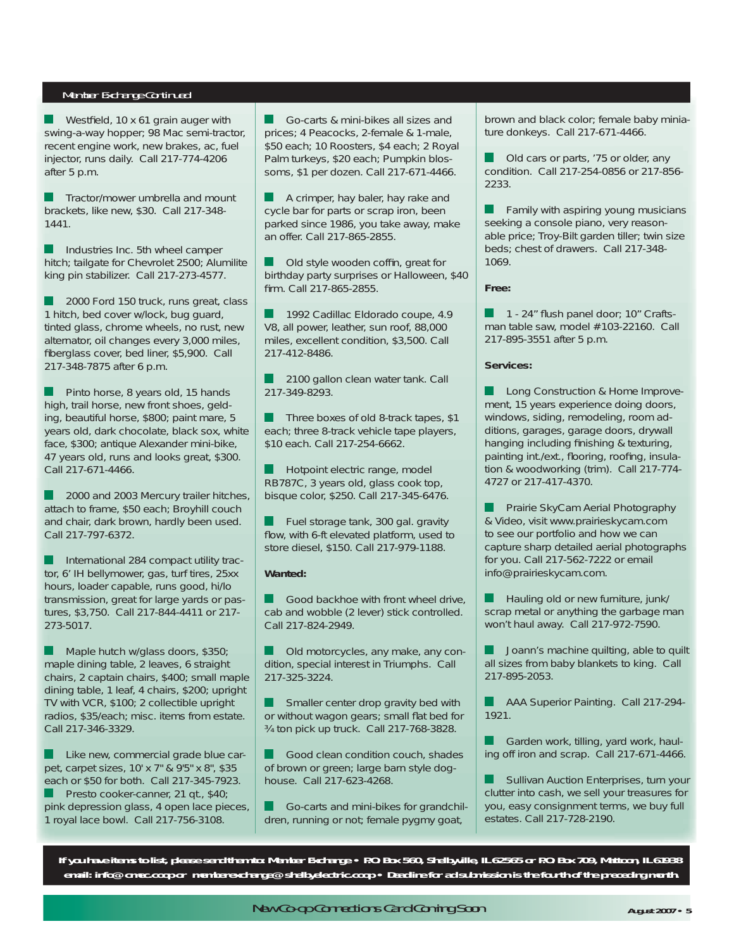#### *Member Exchange Continued* Member Exchange Continued

Westfield, 10 x 61 grain auger with swing-a-way hopper; 98 Mac semi-tractor, recent engine work, new brakes, ac, fuel injector, runs daily. Call 217-774-4206 after 5 p.m.

 Tractor/mower umbrella and mount brackets, like new, \$30. Call 217-348- 1441.

 Industries Inc. 5th wheel camper hitch; tailgate for Chevrolet 2500; Alumilite king pin stabilizer. Call 217-273-4577.

2000 Ford 150 truck, runs great, class 1 hitch, bed cover w/lock, bug guard, tinted glass, chrome wheels, no rust, new alternator, oil changes every 3,000 miles, fiberglass cover, bed liner, \$5,900. Call 217-348-7875 after 6 p.m.

 Pinto horse, 8 years old, 15 hands high, trail horse, new front shoes, gelding, beautiful horse, \$800; paint mare, 5 years old, dark chocolate, black sox, white face, \$300; antique Alexander mini-bike, 47 years old, runs and looks great, \$300. Call 217-671-4466.

2000 and 2003 Mercury trailer hitches, attach to frame, \$50 each; Broyhill couch and chair, dark brown, hardly been used. Call 217-797-6372.

**International 284 compact utility trac**tor, 6' IH bellymower, gas, turf tires, 25xx hours, loader capable, runs good, hi/lo transmission, great for large yards or pastures, \$3,750. Call 217-844-4411 or 217- 273-5017.

Maple hutch w/glass doors, \$350; maple dining table, 2 leaves, 6 straight chairs, 2 captain chairs, \$400; small maple dining table, 1 leaf, 4 chairs, \$200; upright TV with VCR, \$100; 2 collectible upright radios, \$35/each; misc. items from estate. Call 217-346-3329.

**Like new, commercial grade blue car**pet, carpet sizes, 10' x 7" & 9'5" x 8", \$35 each or \$50 for both. Call 217-345-7923. Presto cooker-canner, 21 qt., \$40; pink depression glass, 4 open lace pieces, 1 royal lace bowl. Call 217-756-3108.

 Go-carts & mini-bikes all sizes and prices; 4 Peacocks, 2-female & 1-male, \$50 each; 10 Roosters, \$4 each; 2 Royal Palm turkeys, \$20 each; Pumpkin blossoms, \$1 per dozen. Call 217-671-4466.

 $\blacksquare$  A crimper, hay baler, hay rake and cycle bar for parts or scrap iron, been parked since 1986, you take away, make an offer. Call 217-865-2855.

Old style wooden coffin, great for birthday party surprises or Halloween, \$40 firm. Call 217-865-2855.

1992 Cadillac Eldorado coupe, 4.9 V8, all power, leather, sun roof, 88,000 miles, excellent condition, \$3,500. Call 217-412-8486.

 2100 gallon clean water tank. Call 217-349-8293.

 $\blacksquare$  Three boxes of old 8-track tapes, \$1 each; three 8-track vehicle tape players, \$10 each. Call 217-254-6662.

Hotpoint electric range, model RB787C, 3 years old, glass cook top, bisque color, \$250. Call 217-345-6476.

 Fuel storage tank, 300 gal. gravity flow, with 6-ft elevated platform, used to store diesel, \$150. Call 217-979-1188.

#### **Wanted:**

Good backhoe with front wheel drive, cab and wobble (2 lever) stick controlled. Call 217-824-2949.

**Old motorcycles, any make, any con**dition, special interest in Triumphs. Call 217-325-3224.

Smaller center drop gravity bed with or without wagon gears; small flat bed for ¾ ton pick up truck. Call 217-768-3828.

Good clean condition couch, shades of brown or green; large barn style doghouse. Call 217-623-4268.

 Go-carts and mini-bikes for grandchildren, running or not; female pygmy goat,

brown and black color; female baby miniature donkeys. Call 217-671-4466.

 Old cars or parts, '75 or older, any condition. Call 217-254-0856 or 217-856- 2233.

 Family with aspiring young musicians seeking a console piano, very reasonable price; Troy-Bilt garden tiller; twin size beds; chest of drawers. Call 217-348- 1069.

**Free:**

1 - 24" flush panel door; 10" Craftsman table saw, model #103-22160. Call 217-895-3551 after 5 p.m.

#### **Services:**

 Long Construction & Home Improvement, 15 years experience doing doors, windows, siding, remodeling, room additions, garages, garage doors, drywall hanging including finishing & texturing, painting int./ext., flooring, roofing, insulation & woodworking (trim). Call 217-774- 4727 or 217-417-4370.

 Prairie SkyCam Aerial Photography & Video, visit www.prairieskycam.com to see our portfolio and how we can capture sharp detailed aerial photographs for you. Call 217-562-7222 or email info@prairieskycam.com.

 Hauling old or new furniture, junk/ scrap metal or anything the garbage man won't haul away. Call 217-972-7590.

 Joann's machine quilting, able to quilt all sizes from baby blankets to king. Call 217-895-2053.

**AAA Superior Painting. Call 217-294-**1921.

 Garden work, tilling, yard work, hauling off iron and scrap. Call 217-671-4466.

 Sullivan Auction Enterprises, turn your clutter into cash, we sell your treasures for you, easy consignment terms, we buy full estates. Call 217-728-2190.

**If you have items to list, please send them to: Member Exchange • P.O. Box 560, Shelbyville, IL 62565 or P.O. Box 709, Mattoon, IL 61938 email: info@cmec.coop or memberexchange@shelbyelectric.coop •** *Deadline for ad submission is the fourth of the preceding month.*

New Co-op Connections Card Coming Soon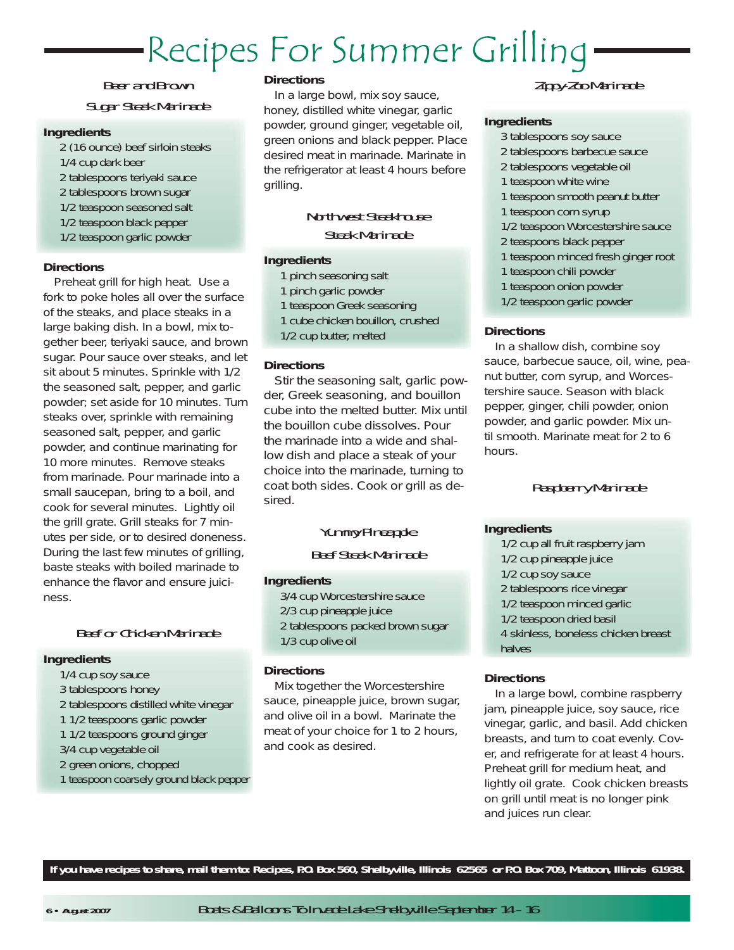# Recipes For Summer Grilling

## Beer and BrownSugar Steak Marinade

#### **Ingredients**

2 (16 ounce) beef sirloin steaks 1/4 cup dark beer 2 tablespoons teriyaki sauce 2 tablespoons brown sugar 1/2 teaspoon seasoned salt 1/2 teaspoon black pepper 1/2 teaspoon garlic powder

#### **Directions**

Preheat grill for high heat. Use a fork to poke holes all over the surface of the steaks, and place steaks in a large baking dish. In a bowl, mix together beer, teriyaki sauce, and brown sugar. Pour sauce over steaks, and let sit about 5 minutes. Sprinkle with 1/2 the seasoned salt, pepper, and garlic powder; set aside for 10 minutes. Turn steaks over, sprinkle with remaining seasoned salt, pepper, and garlic powder, and continue marinating for 10 more minutes. Remove steaks from marinade. Pour marinade into a small saucepan, bring to a boil, and cook for several minutes. Lightly oil the grill grate. Grill steaks for 7 minutes per side, or to desired doneness. During the last few minutes of grilling, baste steaks with boiled marinade to enhance the flavor and ensure juiciness.

### Beef or Chicken Marinade

#### **Ingredients**

- 1/4 cup soy sauce
- 3 tablespoons honey
- 2 tablespoons distilled white vinegar
- 1 1/2 teaspoons garlic powder
- 1 1/2 teaspoons ground ginger
- 3/4 cup vegetable oil
- 2 green onions, chopped
- 1 teaspoon coarsely ground black pepper

#### **Directions**

In a large bowl, mix soy sauce, honey, distilled white vinegar, garlic powder, ground ginger, vegetable oil, green onions and black pepper. Place desired meat in marinade. Marinate in the refrigerator at least 4 hours before grilling.

### Northwest SteakhouseSteak Marinade

#### **Ingredients**

- 1 pinch seasoning salt
- 1 pinch garlic powder
- 1 teaspoon Greek seasoning
- 1 cube chicken bouillon, crushed
- 1/2 cup butter, melted

#### **Directions**

 Stir the seasoning salt, garlic powder, Greek seasoning, and bouillon cube into the melted butter. Mix until the bouillon cube dissolves. Pour the marinade into a wide and shallow dish and place a steak of your choice into the marinade, turning to coat both sides. Cook or grill as desired.

## Yummy Pineapple Beef Steak Marinade

#### **Ingredients**

3/4 cup Worcestershire sauce 2/3 cup pineapple juice 2 tablespoons packed brown sugar 1/3 cup olive oil

#### **Directions**

Mix together the Worcestershire sauce, pineapple juice, brown sugar, and olive oil in a bowl. Marinate the meat of your choice for 1 to 2 hours, and cook as desired.

## Zippy-Zoo Marinade

#### **Ingredients**

- 3 tablespoons soy sauce
- 2 tablespoons barbecue sauce
- 2 tablespoons vegetable oil
- 1 teaspoon white wine
- 1 teaspoon smooth peanut butter
- 1 teaspoon corn syrup
- 1/2 teaspoon Worcestershire sauce
- 2 teaspoons black pepper
- 1 teaspoon minced fresh ginger root
- 1 teaspoon chili powder
- 1 teaspoon onion powder
- 1/2 teaspoon garlic powder

#### **Directions**

In a shallow dish, combine soy sauce, barbecue sauce, oil, wine, peanut butter, corn syrup, and Worcestershire sauce. Season with black pepper, ginger, chili powder, onion powder, and garlic powder. Mix until smooth. Marinate meat for 2 to 6 hours.

### Raspberry Marinade

#### **Ingredients**

1/2 cup all fruit raspberry jam 1/2 cup pineapple juice 1/2 cup soy sauce 2 tablespoons rice vinegar 1/2 teaspoon minced garlic 1/2 teaspoon dried basil 4 skinless, boneless chicken breast halves

#### **Directions**

In a large bowl, combine raspberry jam, pineapple juice, soy sauce, rice vinegar, garlic, and basil. Add chicken breasts, and turn to coat evenly. Cover, and refrigerate for at least 4 hours. Preheat grill for medium heat, and lightly oil grate. Cook chicken breasts on grill until meat is no longer pink and juices run clear.

**If you have recipes to share, mail them to: Recipes, P.O. Box 560, Shelbyville, Illinois 62565 or P.O. Box 709, Mattoon, Illinois 61938.**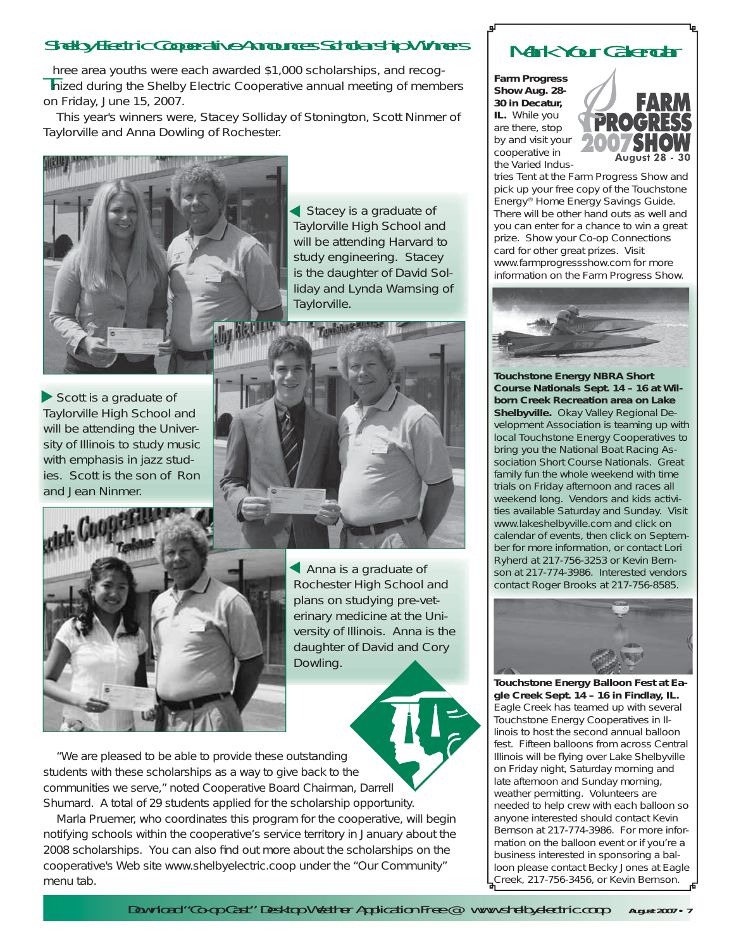## Shelby Electric Cooperative Announces Scholarship Winners

Three area youths were each awarded \$1,000 scholarships, and recog-<br>Inized during the Shelby Electric Cooperative annual meeting of members on Friday, June 15, 2007.

 This year's winners were, Stacey Solliday of Stonington, Scott Ninmer of Taylorville and Anna Dowling of Rochester.



Stacey is a graduate of Taylorville High School and will be attending Harvard to study engineering. Stacey is the daughter of David Solliday and Lynda Warnsing of Taylorville.

Scott is a graduate of Taylorville High School and will be attending the University of Illinois to study music with emphasis in jazz studies. Scott is the son of Ron and Jean Ninmer.



 Anna is a graduate of Rochester High School and plans on studying pre-veterinary medicine at the University of Illinois. Anna is the daughter of David and Cory Dowling.

 "We are pleased to be able to provide these outstanding students with these scholarships as a way to give back to the communities we serve," noted Cooperative Board Chairman, Darrell Shumard. A total of 29 students applied for the scholarship opportunity.

 Marla Pruemer, who coordinates this program for the cooperative, will begin notifying schools within the cooperative's service territory in January about the 2008 scholarships. You can also find out more about the scholarships on the cooperative's Web site www.shelbyelectric.coop under the "Our Community" menu tab.

# Mark Your Calendar

**Farm Progress Show Aug. 28- 30 in Decatur, IL.** While you are there, stop by and visit your cooperative in the Varied Indus-



tries Tent at the Farm Progress Show and pick up your free copy of the Touchstone Energy® Home Energy Savings Guide. There will be other hand outs as well and you can enter for a chance to win a great prize. Show your Co-op Connections card for other great prizes. Visit www.farmprogressshow.com for more information on the Farm Progress Show.



**Touchstone Energy NBRA Short Course Nationals Sept. 14 – 16 at Wilborn Creek Recreation area on Lake Shelbyville.** Okay Valley Regional Development Association is teaming up with local Touchstone Energy Cooperatives to bring you the National Boat Racing Association Short Course Nationals. Great family fun the whole weekend with time trials on Friday afternoon and races all weekend long. Vendors and kids activities available Saturday and Sunday. Visit www.lakeshelbyville.com and click on calendar of events, then click on September for more information, or contact Lori Ryherd at 217-756-3253 or Kevin Bernson at 217-774-3986. Interested vendors contact Roger Brooks at 217-756-8585.



**Touchstone Energy Balloon Fest at Eagle Creek Sept. 14 – 16 in Findlay, IL.** Eagle Creek has teamed up with several Touchstone Energy Cooperatives in Illinois to host the second annual balloon fest. Fifteen balloons from across Central Illinois will be flying over Lake Shelbyville on Friday night, Saturday morning and late afternoon and Sunday morning, weather permitting. Volunteers are needed to help crew with each balloon so anyone interested should contact Kevin Bernson at 217-774-3986. For more information on the balloon event or if you're a business interested in sponsoring a balloon please contact Becky Jones at Eagle Creek, 217-756-3456, or Kevin Bernson.